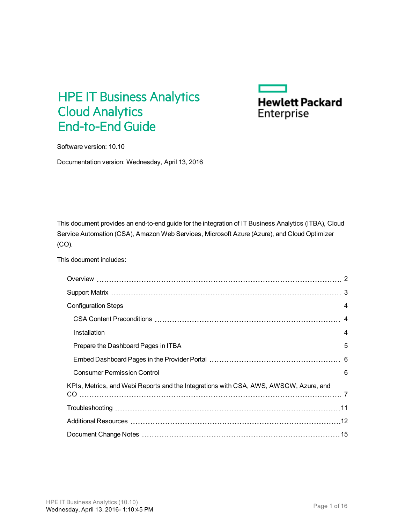# HPE IT Business Analytics Cloud Analytics End-to-End Guide



Software version: 10.10

Documentation version: Wednesday, April 13, 2016

This document provides an end-to-end guide for the integration of IT Business Analytics (ITBA), Cloud Service Automation (CSA), Amazon Web Services, Microsoft Azure (Azure), and Cloud Optimizer (CO).

This document includes:

| KPIs, Metrics, and Webi Reports and the Integrations with CSA, AWS, AWSCW, Azure, and |  |
|---------------------------------------------------------------------------------------|--|
|                                                                                       |  |
|                                                                                       |  |
|                                                                                       |  |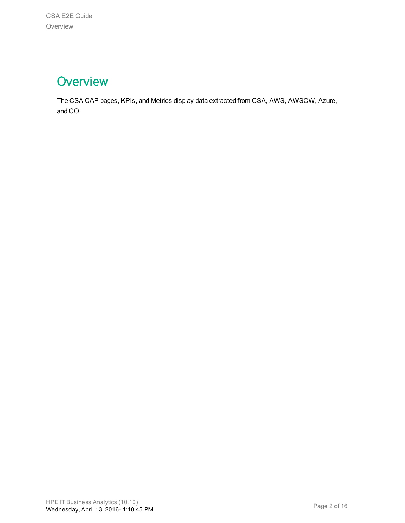# <span id="page-1-0"></span>**Overview**

The CSA CAP pages, KPIs, and Metrics display data extracted from CSA, AWS, AWSCW, Azure, and CO.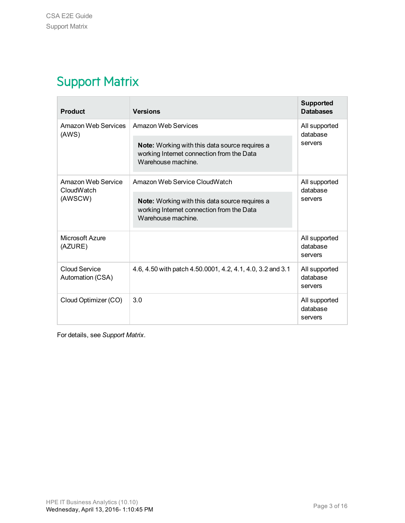# <span id="page-2-0"></span>Support Matrix

| <b>Product</b>                                                    | <b>Versions</b>                                                                                                   | <b>Supported</b><br><b>Databases</b> |  |
|-------------------------------------------------------------------|-------------------------------------------------------------------------------------------------------------------|--------------------------------------|--|
| Amazon Web Services<br>(AWS)                                      | Amazon Web Services                                                                                               | All supported<br>database<br>servers |  |
|                                                                   | Note: Working with this data source requires a<br>working Internet connection from the Data<br>Warehouse machine. |                                      |  |
| Amazon Web Service<br>Amazon Web Service CloudWatch<br>CloudWatch |                                                                                                                   | All supported<br>database            |  |
| (AWSCW)                                                           | Note: Working with this data source requires a<br>working Internet connection from the Data<br>Warehouse machine. | servers                              |  |
| Microsoft Azure<br>(AZURE)                                        |                                                                                                                   | All supported<br>database<br>servers |  |
| Cloud Service<br>Automation (CSA)                                 | 4.6, 4.50 with patch 4.50.0001, 4.2, 4.1, 4.0, 3.2 and 3.1                                                        | All supported<br>database<br>servers |  |
| Cloud Optimizer (CO)                                              | 3.0                                                                                                               | All supported<br>database<br>servers |  |

For details, see *Support Matrix*.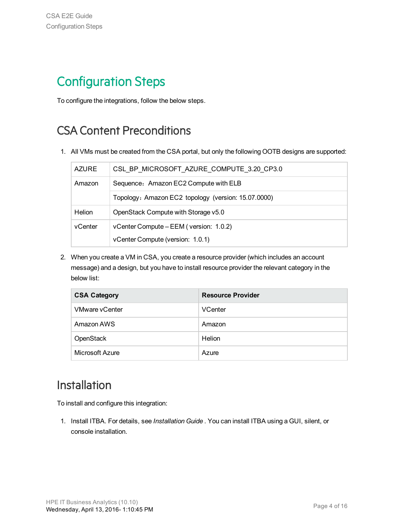# <span id="page-3-0"></span>Configuration Steps

To configure the integrations, follow the below steps.

## <span id="page-3-1"></span>CSA Content Preconditions

1. All VMs must be created from the CSA portal, but only the following OOTB designs are supported:

| <b>AZURE</b> | CSL BP MICROSOFT AZURE COMPUTE 3.20 CP3.0           |
|--------------|-----------------------------------------------------|
| Amazon       | Sequence: Amazon EC2 Compute with ELB               |
|              | Topology: Amazon EC2 topology (version: 15.07.0000) |
| Helion       | OpenStack Compute with Storage v5.0                 |
| vCenter      | vCenter Compute – EEM (version: 1.0.2)              |
|              | vCenter Compute (version: 1.0.1)                    |

2. When you create a VM in CSA, you create a resource provider (which includes an account message) and a design, but you have to install resource provider the relevant category in the below list:

| <b>CSA Category</b>   | <b>Resource Provider</b> |
|-----------------------|--------------------------|
| <b>VMware vCenter</b> | <b>VCenter</b>           |
| Amazon AWS            | Amazon                   |
| OpenStack             | Helion                   |
| Microsoft Azure       | Azure                    |

### <span id="page-3-2"></span>Installation

To install and configure this integration:

1. Install ITBA. For details, see *Installation Guide* . You can install ITBA using a GUI, silent, or console installation.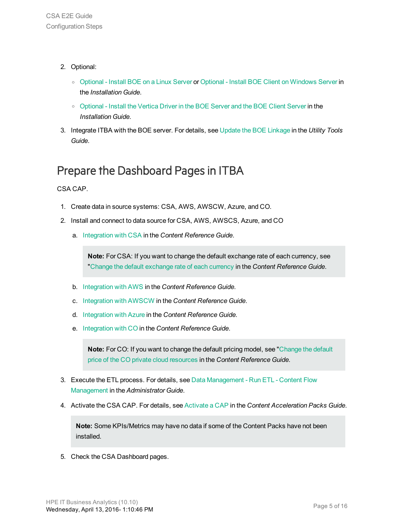- 2. Optional:
	- <sup>o</sup> Optional Install BOE on a Linux Server or Optional Install BOE Client on Windows Server in the *Installation Guide*.
	- <sup>o</sup> Optional Install the Vertica Driver in the BOE Server and the BOE Client Server in the *Installation Guide*.
- 3. Integrate ITBA with the BOE server. For details, see Update the BOE Linkage in the *Utility Tools Guide*.

# <span id="page-4-0"></span>Prepare the Dashboard Pages in ITBA

CSA CAP.

- 1. Create data in source systems: CSA, AWS, AWSCW, Azure, and CO.
- 2. Install and connect to data source for CSA, AWS, AWSCS, Azure, and CO
	- a. Integration with CSA in the *Content Reference Guide*.

**Note:** For CSA: If you want to change the default exchange rate of each currency, see "Change the default exchange rate of each currency in the *Content Reference Guide*.

- b. Integration with AWS in the *Content Reference Guide*.
- c. Integration with AWSCW in the *Content Reference Guide*.
- d. Integration with Azure in the *Content Reference Guide*.
- e. Integration with CO in the *Content Reference Guide*.

**Note:** For CO: If you want to change the default pricing model, see "Change the default price of the CO private cloud resources in the *Content Reference Guide*.

- 3. Execute the ETL process. For details, see Data Management Run ETL Content Flow Management in the *Administrator Guide*.
- 4. Activate the CSA CAP. For details, see Activate a CAP in the *Content Acceleration Packs Guide*.

**Note:** Some KPIs/Metrics may have no data if some of the Content Packs have not been installed.

5. Check the CSA Dashboard pages.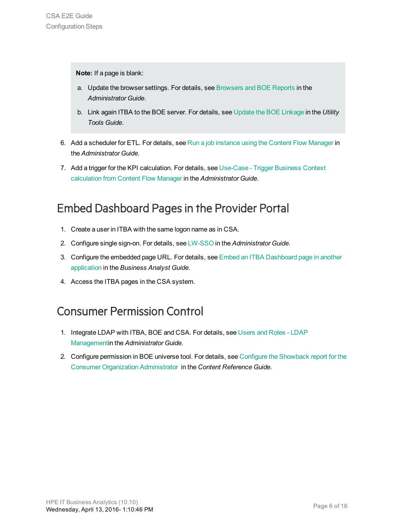**Note:** If a page is blank:

- a. Update the browser settings. For details, see Browsers and BOE Reports in the *Administrator Guide*.
- b. Link again ITBA to the BOE server. For details, see Update the BOE Linkage in the *Utility Tools Guide*.
- 6. Add a scheduler for ETL. For details, see Run a job instance using the Content Flow Manager in the *Administrator Guide*.
- 7. Add a trigger for the KPI calculation. For details, see Use-Case Trigger Business Context calculation from Content Flow Manager in the *Administrator Guide*.

### <span id="page-5-0"></span>Embed Dashboard Pagesin the Provider Portal

- 1. Create a user in ITBA with the same logon name as in CSA.
- 2. Configure single sign-on. For details, see LW-SSO in the *Administrator Guide*.
- 3. Configure the embedded page URL. For details, see Embed an ITBA Dashboard page in another application in the *Business Analyst Guide*.
- 4. Access the ITBA pages in the CSA system.

### <span id="page-5-1"></span>Consumer Permission Control

- 1. Integrate LDAP with ITBA, BOE and CSA. For details, see Users and Roles LDAP Managementin the *Administrator Guide*.
- 2. Configure permission in BOE universe tool. For details, see Configure the Showback report for the Consumer Organization Administrator in the *Content Reference Guide*.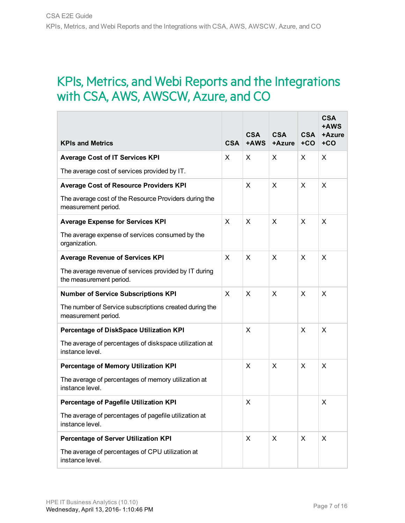# <span id="page-6-0"></span>KPIs, Metrics, and Webi Reports and the Integrations with CSA, AWS, AWSCW, Azure, and CO

| <b>KPIs and Metrics</b>                                                          | <b>CSA</b>   | <b>CSA</b><br>+AWS | <b>CSA</b><br>+Azure | <b>CSA</b><br>$+CO$ | <b>CSA</b><br>+AWS<br>+Azure<br>$+CO$ |
|----------------------------------------------------------------------------------|--------------|--------------------|----------------------|---------------------|---------------------------------------|
| <b>Average Cost of IT Services KPI</b>                                           | X            | X                  | X                    | X                   | X                                     |
| The average cost of services provided by IT.                                     |              |                    |                      |                     |                                       |
| <b>Average Cost of Resource Providers KPI</b>                                    |              | X                  | X                    | X                   | X                                     |
| The average cost of the Resource Providers during the<br>measurement period.     |              |                    |                      |                     |                                       |
| <b>Average Expense for Services KPI</b>                                          | X            | X                  | X                    | X                   | X                                     |
| The average expense of services consumed by the<br>organization.                 |              |                    |                      |                     |                                       |
| <b>Average Revenue of Services KPI</b>                                           | $\times$     | X                  | $\mathsf{x}$         | $\mathsf{x}$        | X                                     |
| The average revenue of services provided by IT during<br>the measurement period. |              |                    |                      |                     |                                       |
| <b>Number of Service Subscriptions KPI</b>                                       | $\mathsf{X}$ | X                  | X                    | X                   | X                                     |
| The number of Service subscriptions created during the<br>measurement period.    |              |                    |                      |                     |                                       |
| Percentage of DiskSpace Utilization KPI                                          |              | X                  |                      | $\mathsf{x}$        | X                                     |
| The average of percentages of diskspace utilization at<br>instance level.        |              |                    |                      |                     |                                       |
| Percentage of Memory Utilization KPI                                             |              | X                  | X                    | X                   | X                                     |
| The average of percentages of memory utilization at<br>instance level.           |              |                    |                      |                     |                                       |
| Percentage of Pagefile Utilization KPI                                           |              | X                  |                      |                     | X                                     |
| The average of percentages of pagefile utilization at<br>instance level.         |              |                    |                      |                     |                                       |
| Percentage of Server Utilization KPI                                             |              | X                  | X                    | X                   | X                                     |
| The average of percentages of CPU utilization at<br>instance level.              |              |                    |                      |                     |                                       |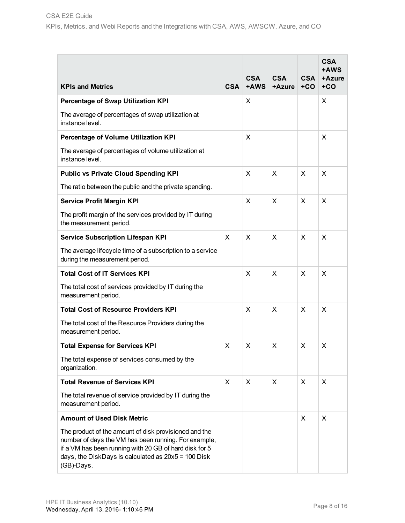|                                                                                                                                                                                                                                                |            |                    |                      |                     | <b>CSA</b><br>+AWS |
|------------------------------------------------------------------------------------------------------------------------------------------------------------------------------------------------------------------------------------------------|------------|--------------------|----------------------|---------------------|--------------------|
| <b>KPIs and Metrics</b>                                                                                                                                                                                                                        | <b>CSA</b> | <b>CSA</b><br>+AWS | <b>CSA</b><br>+Azure | <b>CSA</b><br>$+CO$ | +Azure<br>$+CO$    |
| Percentage of Swap Utilization KPI                                                                                                                                                                                                             |            | X                  |                      |                     | X                  |
| The average of percentages of swap utilization at<br>instance level.                                                                                                                                                                           |            |                    |                      |                     |                    |
| Percentage of Volume Utilization KPI                                                                                                                                                                                                           |            | X                  |                      |                     | X                  |
| The average of percentages of volume utilization at<br>instance level.                                                                                                                                                                         |            |                    |                      |                     |                    |
| <b>Public vs Private Cloud Spending KPI</b>                                                                                                                                                                                                    |            | X                  | X                    | X                   | X                  |
| The ratio between the public and the private spending.                                                                                                                                                                                         |            |                    |                      |                     |                    |
| <b>Service Profit Margin KPI</b>                                                                                                                                                                                                               |            | X                  | X                    | X                   | X                  |
| The profit margin of the services provided by IT during<br>the measurement period.                                                                                                                                                             |            |                    |                      |                     |                    |
| <b>Service Subscription Lifespan KPI</b>                                                                                                                                                                                                       | X          | X                  | X                    | X                   | X                  |
| The average lifecycle time of a subscription to a service<br>during the measurement period.                                                                                                                                                    |            |                    |                      |                     |                    |
| <b>Total Cost of IT Services KPI</b>                                                                                                                                                                                                           |            | X                  | X                    | X                   | X                  |
| The total cost of services provided by IT during the<br>measurement period.                                                                                                                                                                    |            |                    |                      |                     |                    |
| <b>Total Cost of Resource Providers KPI</b>                                                                                                                                                                                                    |            | X                  | X                    | X                   | X                  |
| The total cost of the Resource Providers during the<br>measurement period.                                                                                                                                                                     |            |                    |                      |                     |                    |
| <b>Total Expense for Services KPI</b>                                                                                                                                                                                                          | X          | X                  | X                    | X                   | X                  |
| The total expense of services consumed by the<br>organization.                                                                                                                                                                                 |            |                    |                      |                     |                    |
| <b>Total Revenue of Services KPI</b>                                                                                                                                                                                                           | X          | X                  | X                    | X                   | X                  |
| The total revenue of service provided by IT during the<br>measurement period.                                                                                                                                                                  |            |                    |                      |                     |                    |
| <b>Amount of Used Disk Metric</b>                                                                                                                                                                                                              |            |                    |                      | X                   | X                  |
| The product of the amount of disk provisioned and the<br>number of days the VM has been running. For example,<br>if a VM has been running with 20 GB of hard disk for 5<br>days, the DiskDays is calculated as $20x5 = 100$ Disk<br>(GB)-Days. |            |                    |                      |                     |                    |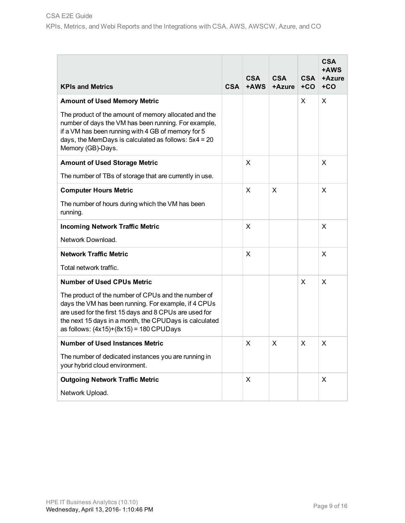| <b>KPIs and Metrics</b>                                                                                                                                                                                                                                                      | <b>CSA</b> | <b>CSA</b><br>$+AWS$ | <b>CSA</b><br>+Azure | <b>CSA</b><br>$+CO$ | <b>CSA</b><br>+AWS<br>+Azure<br>$+CO$ |
|------------------------------------------------------------------------------------------------------------------------------------------------------------------------------------------------------------------------------------------------------------------------------|------------|----------------------|----------------------|---------------------|---------------------------------------|
| <b>Amount of Used Memory Metric</b>                                                                                                                                                                                                                                          |            |                      |                      | X                   | X                                     |
| The product of the amount of memory allocated and the<br>number of days the VM has been running. For example,<br>if a VM has been running with 4 GB of memory for 5<br>days, the MemDays is calculated as follows: $5x4 = 20$<br>Memory (GB)-Days.                           |            |                      |                      |                     |                                       |
| <b>Amount of Used Storage Metric</b>                                                                                                                                                                                                                                         |            | X                    |                      |                     | X                                     |
| The number of TBs of storage that are currently in use.                                                                                                                                                                                                                      |            |                      |                      |                     |                                       |
| <b>Computer Hours Metric</b>                                                                                                                                                                                                                                                 |            | X                    | X                    |                     | X                                     |
| The number of hours during which the VM has been<br>running.                                                                                                                                                                                                                 |            |                      |                      |                     |                                       |
| <b>Incoming Network Traffic Metric</b>                                                                                                                                                                                                                                       |            | X                    |                      |                     | X                                     |
| Network Download.                                                                                                                                                                                                                                                            |            |                      |                      |                     |                                       |
| <b>Network Traffic Metric</b>                                                                                                                                                                                                                                                |            | X                    |                      |                     | X                                     |
| Total network traffic.                                                                                                                                                                                                                                                       |            |                      |                      |                     |                                       |
| <b>Number of Used CPUs Metric</b>                                                                                                                                                                                                                                            |            |                      |                      | X                   | X                                     |
| The product of the number of CPUs and the number of<br>days the VM has been running. For example, if 4 CPUs<br>are used for the first 15 days and 8 CPUs are used for<br>the next 15 days in a month, the CPUDays is calculated<br>as follows: $(4x15)+(8x15) = 180$ CPUDays |            |                      |                      |                     |                                       |
| <b>Number of Used Instances Metric</b>                                                                                                                                                                                                                                       |            | X                    | X                    | X                   | X                                     |
| The number of dedicated instances you are running in<br>your hybrid cloud environment.                                                                                                                                                                                       |            |                      |                      |                     |                                       |
| <b>Outgoing Network Traffic Metric</b>                                                                                                                                                                                                                                       |            | X                    |                      |                     | X                                     |
| Network Upload.                                                                                                                                                                                                                                                              |            |                      |                      |                     |                                       |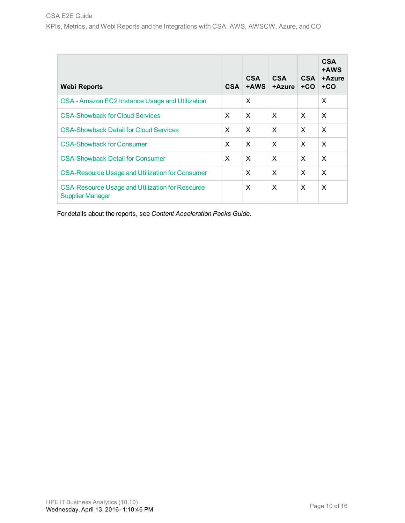| <b>Webi Reports</b>                                                               | <b>CSA</b> | <b>CSA</b><br>+AWS        | <b>CSA</b><br>+Azure | <b>CSA</b><br>$+CO$       | <b>CSA</b><br>+AWS<br>+Azure<br>$+CO$ |
|-----------------------------------------------------------------------------------|------------|---------------------------|----------------------|---------------------------|---------------------------------------|
| CSA - Amazon EC2 Instance Usage and Utilization                                   |            | X                         |                      |                           | X                                     |
| <b>CSA-Showback for Cloud Services</b>                                            | X          | X                         | X                    | X                         | $\times$                              |
| <b>CSA-Showback Detail for Cloud Services</b>                                     | X          | $\boldsymbol{\mathsf{x}}$ | $\times$             | $\boldsymbol{\mathsf{x}}$ | X                                     |
| <b>CSA-Showback for Consumer</b>                                                  | X          | X                         | X                    | X                         | $\times$                              |
| <b>CSA-Showback Detail for Consumer</b>                                           | X          | X                         | X                    | X                         | X                                     |
| <b>CSA-Resource Usage and Utilization for Consumer</b>                            |            | X                         | X                    | X                         | X                                     |
| <b>CSA-Resource Usage and Utilization for Resource</b><br><b>Supplier Manager</b> |            | X                         | X                    | X                         | $\times$                              |

For details about the reports, see *Content Acceleration Packs Guide*.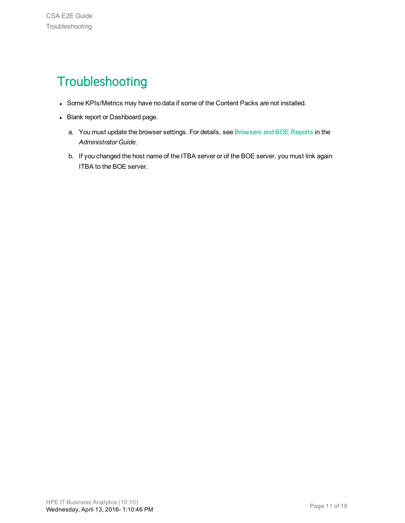# <span id="page-10-0"></span>**Troubleshooting**

- Some KPIs/Metrics may have no data if some of the Content Packs are not installed.
- Blank report or Dashboard page.
	- a. You must update the browser settings. For details, see Browsers and BOE Reports in the *Administrator Guide*.
	- b. If you changed the host name of the ITBA server or of the BOE server, you must link again ITBA to the BOE server.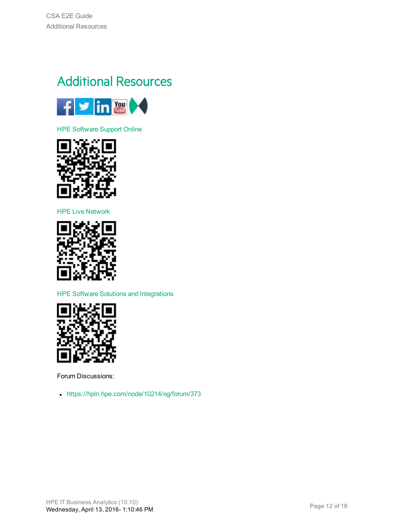# <span id="page-11-0"></span>Additional Resources



HPE [Software](https://www.hpe.com/us/en/support.html) Support Online



HPE Live [Network](https://hpln.hpe.com/group/it-business-analytics)



HPE Software Solutions and [Integrations](http://support.openview.hp.com/sc/solutions/index.jsp)



Forum Discussions:

• <https://hpln.hpe.com/node/10214/og/forum/373>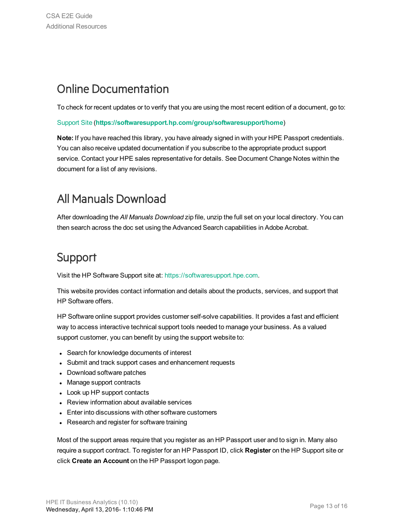### Online Documentation

To check for recent updates or to verify that you are using the most recent edition of a document, go to:

#### [Support](https://softwaresupport.hp.com/group/softwaresupport/home) Site (**[https://softwaresupport.hp.com/group/softwaresupport/home](https://www.hpe.com/us/en/support.html)**)

**Note:** If you have reached this library, you have already signed in with your HPE Passport credentials. You can also receive updated documentation if you subscribe to the appropriate product support service. Contact your HPE sales representative for details. See Document Change Notes within the document for a list of any revisions.

### All Manuals Download

After downloading the *All Manuals Download* zip file, unzip the full set on your local directory. You can then search across the doc set using the Advanced Search capabilities in Adobe Acrobat.

### Support

Visit the HP Software Support site at: [https://softwaresupport.hpe.com](https://softwaresupport.hpe.com/).

This website provides contact information and details about the products, services, and support that HP Software offers.

HP Software online support provides customer self-solve capabilities. It provides a fast and efficient way to access interactive technical support tools needed to manage your business. As a valued support customer, you can benefit by using the support website to:

- Search for knowledge documents of interest
- Submit and track support cases and enhancement requests
- Download software patches
- Manage support contracts
- Look up HP support contacts
- Review information about available services
- Enter into discussions with other software customers
- Research and register for software training

Most of the support areas require that you register as an HP Passport user and to sign in. Many also require a support contract. To register for an HP Passport ID, click **Register** on the HP Support site or click **Create an Account** on the HP Passport logon page.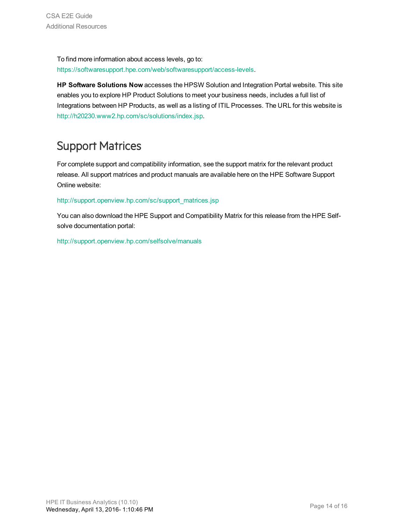To find more information about access levels, go to: <https://softwaresupport.hpe.com/web/softwaresupport/access-levels>.

**HP Software Solutions Now** accesses the HPSW Solution and Integration Portal website. This site enables you to explore HP Product Solutions to meet your business needs, includes a full list of Integrations between HP Products, as well as a listing of ITIL Processes. The URL for this website is [http://h20230.www2.hp.com/sc/solutions/index.jsp.](http://h20230.www2.hp.com/sc/solutions/index.jsp)

## Support Matrices

For complete support and compatibility information, see the support matrix for the relevant product release. All support matrices and product manuals are available here on the HPE Software Support Online website:

#### [http://support.openview.hp.com/sc/support\\_matrices.jsp](https://softwaresupport.hp.com/group/softwaresupport/support-matrices)

You can also download the HPE Support and Compatibility Matrix for this release from the HPE Selfsolve documentation portal:

<http://support.openview.hp.com/selfsolve/manuals>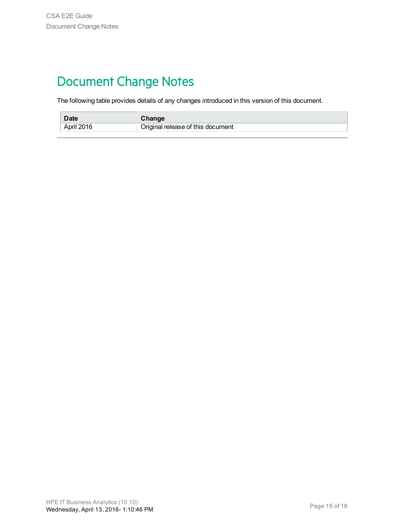# <span id="page-14-0"></span>Document Change Notes

The following table provides details of any changes introduced in this version of this document.

| <b>Date</b> | Change                            |
|-------------|-----------------------------------|
| April 2016  | Original release of this document |